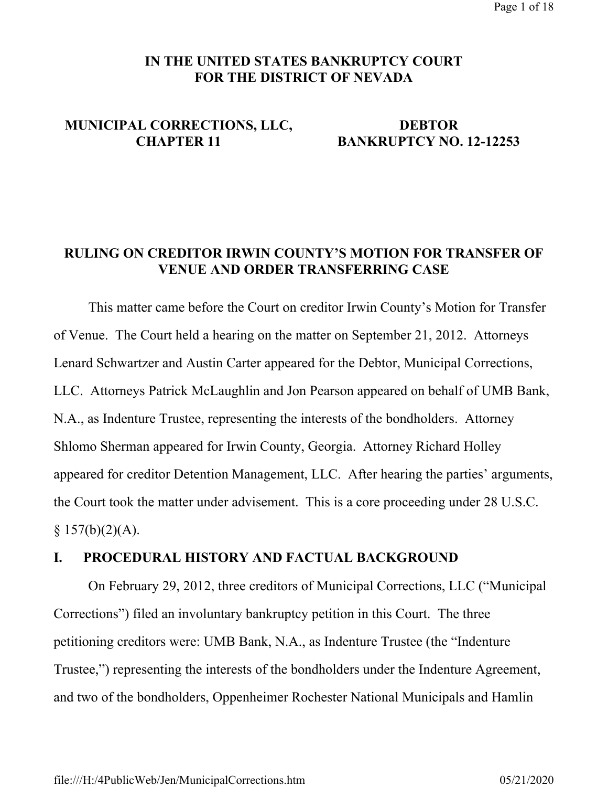## **IN THE UNITED STATES BANKRUPTCY COURT FOR THE DISTRICT OF NEVADA**

# **MUNICIPAL CORRECTIONS, LLC, DEBTOR**

# **CHAPTER 11 BANKRUPTCY NO. 12-12253**

## **RULING ON CREDITOR IRWIN COUNTY'S MOTION FOR TRANSFER OF VENUE AND ORDER TRANSFERRING CASE**

This matter came before the Court on creditor Irwin County's Motion for Transfer of Venue. The Court held a hearing on the matter on September 21, 2012. Attorneys Lenard Schwartzer and Austin Carter appeared for the Debtor, Municipal Corrections, LLC. Attorneys Patrick McLaughlin and Jon Pearson appeared on behalf of UMB Bank, N.A., as Indenture Trustee, representing the interests of the bondholders. Attorney Shlomo Sherman appeared for Irwin County, Georgia. Attorney Richard Holley appeared for creditor Detention Management, LLC. After hearing the parties' arguments, the Court took the matter under advisement. This is a core proceeding under 28 U.S.C.  $§ 157(b)(2)(A).$ 

## **I. PROCEDURAL HISTORY AND FACTUAL BACKGROUND**

 On February 29, 2012, three creditors of Municipal Corrections, LLC ("Municipal Corrections") filed an involuntary bankruptcy petition in this Court. The three petitioning creditors were: UMB Bank, N.A., as Indenture Trustee (the "Indenture Trustee,") representing the interests of the bondholders under the Indenture Agreement, and two of the bondholders, Oppenheimer Rochester National Municipals and Hamlin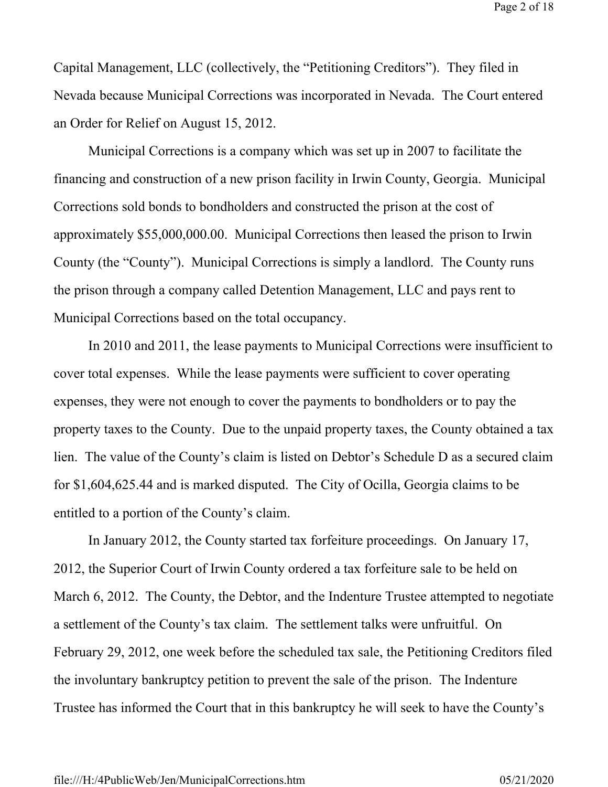Page 2 of 18

Capital Management, LLC (collectively, the "Petitioning Creditors"). They filed in Nevada because Municipal Corrections was incorporated in Nevada. The Court entered an Order for Relief on August 15, 2012.

 Municipal Corrections is a company which was set up in 2007 to facilitate the financing and construction of a new prison facility in Irwin County, Georgia. Municipal Corrections sold bonds to bondholders and constructed the prison at the cost of approximately \$55,000,000.00. Municipal Corrections then leased the prison to Irwin County (the "County"). Municipal Corrections is simply a landlord. The County runs the prison through a company called Detention Management, LLC and pays rent to Municipal Corrections based on the total occupancy.

 In 2010 and 2011, the lease payments to Municipal Corrections were insufficient to cover total expenses. While the lease payments were sufficient to cover operating expenses, they were not enough to cover the payments to bondholders or to pay the property taxes to the County. Due to the unpaid property taxes, the County obtained a tax lien. The value of the County's claim is listed on Debtor's Schedule D as a secured claim for \$1,604,625.44 and is marked disputed. The City of Ocilla, Georgia claims to be entitled to a portion of the County's claim.

 In January 2012, the County started tax forfeiture proceedings. On January 17, 2012, the Superior Court of Irwin County ordered a tax forfeiture sale to be held on March 6, 2012. The County, the Debtor, and the Indenture Trustee attempted to negotiate a settlement of the County's tax claim. The settlement talks were unfruitful. On February 29, 2012, one week before the scheduled tax sale, the Petitioning Creditors filed the involuntary bankruptcy petition to prevent the sale of the prison. The Indenture Trustee has informed the Court that in this bankruptcy he will seek to have the County's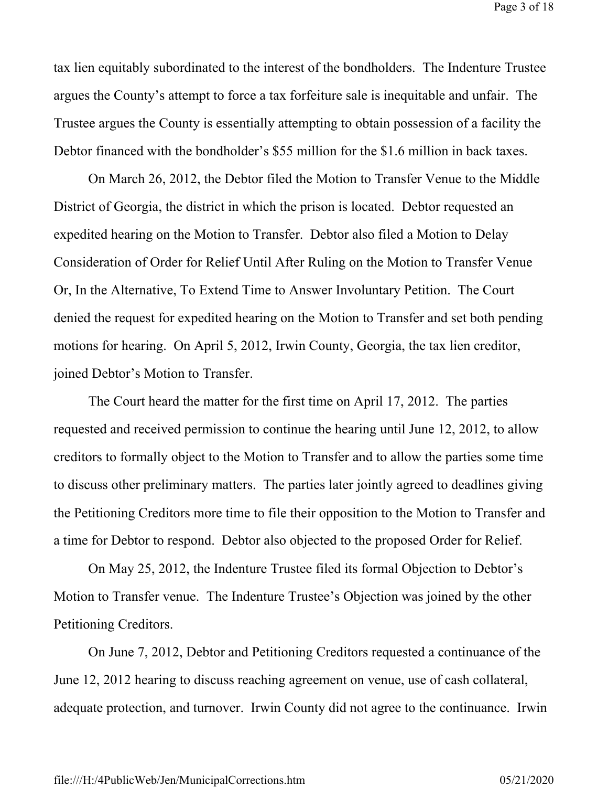tax lien equitably subordinated to the interest of the bondholders. The Indenture Trustee argues the County's attempt to force a tax forfeiture sale is inequitable and unfair. The Trustee argues the County is essentially attempting to obtain possession of a facility the Debtor financed with the bondholder's \$55 million for the \$1.6 million in back taxes.

 On March 26, 2012, the Debtor filed the Motion to Transfer Venue to the Middle District of Georgia, the district in which the prison is located. Debtor requested an expedited hearing on the Motion to Transfer. Debtor also filed a Motion to Delay Consideration of Order for Relief Until After Ruling on the Motion to Transfer Venue Or, In the Alternative, To Extend Time to Answer Involuntary Petition. The Court denied the request for expedited hearing on the Motion to Transfer and set both pending motions for hearing. On April 5, 2012, Irwin County, Georgia, the tax lien creditor, joined Debtor's Motion to Transfer.

 The Court heard the matter for the first time on April 17, 2012. The parties requested and received permission to continue the hearing until June 12, 2012, to allow creditors to formally object to the Motion to Transfer and to allow the parties some time to discuss other preliminary matters. The parties later jointly agreed to deadlines giving the Petitioning Creditors more time to file their opposition to the Motion to Transfer and a time for Debtor to respond. Debtor also objected to the proposed Order for Relief.

 On May 25, 2012, the Indenture Trustee filed its formal Objection to Debtor's Motion to Transfer venue. The Indenture Trustee's Objection was joined by the other Petitioning Creditors.

 On June 7, 2012, Debtor and Petitioning Creditors requested a continuance of the June 12, 2012 hearing to discuss reaching agreement on venue, use of cash collateral, adequate protection, and turnover. Irwin County did not agree to the continuance. Irwin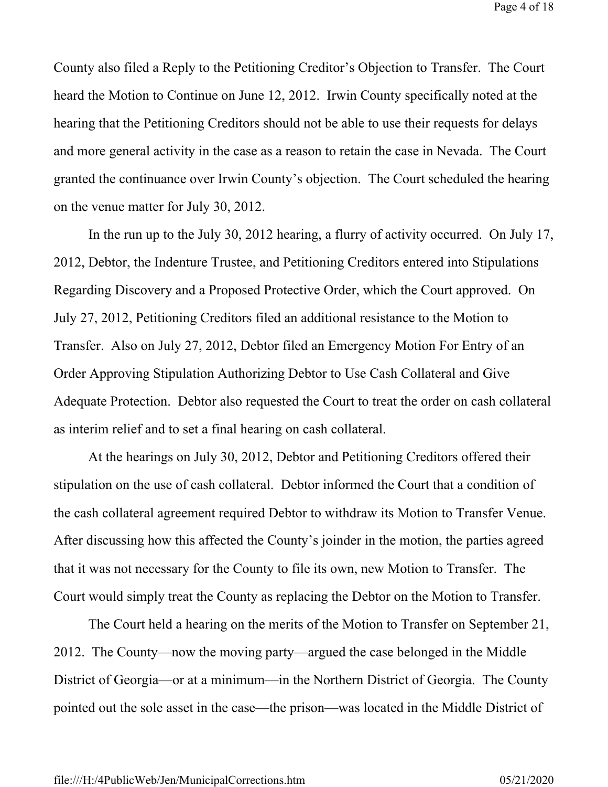County also filed a Reply to the Petitioning Creditor's Objection to Transfer. The Court heard the Motion to Continue on June 12, 2012. Irwin County specifically noted at the hearing that the Petitioning Creditors should not be able to use their requests for delays and more general activity in the case as a reason to retain the case in Nevada. The Court granted the continuance over Irwin County's objection. The Court scheduled the hearing on the venue matter for July 30, 2012.

 In the run up to the July 30, 2012 hearing, a flurry of activity occurred. On July 17, 2012, Debtor, the Indenture Trustee, and Petitioning Creditors entered into Stipulations Regarding Discovery and a Proposed Protective Order, which the Court approved. On July 27, 2012, Petitioning Creditors filed an additional resistance to the Motion to Transfer. Also on July 27, 2012, Debtor filed an Emergency Motion For Entry of an Order Approving Stipulation Authorizing Debtor to Use Cash Collateral and Give Adequate Protection. Debtor also requested the Court to treat the order on cash collateral as interim relief and to set a final hearing on cash collateral.

 At the hearings on July 30, 2012, Debtor and Petitioning Creditors offered their stipulation on the use of cash collateral. Debtor informed the Court that a condition of the cash collateral agreement required Debtor to withdraw its Motion to Transfer Venue. After discussing how this affected the County's joinder in the motion, the parties agreed that it was not necessary for the County to file its own, new Motion to Transfer. The Court would simply treat the County as replacing the Debtor on the Motion to Transfer.

 The Court held a hearing on the merits of the Motion to Transfer on September 21, 2012. The County—now the moving party—argued the case belonged in the Middle District of Georgia—or at a minimum—in the Northern District of Georgia. The County pointed out the sole asset in the case—the prison—was located in the Middle District of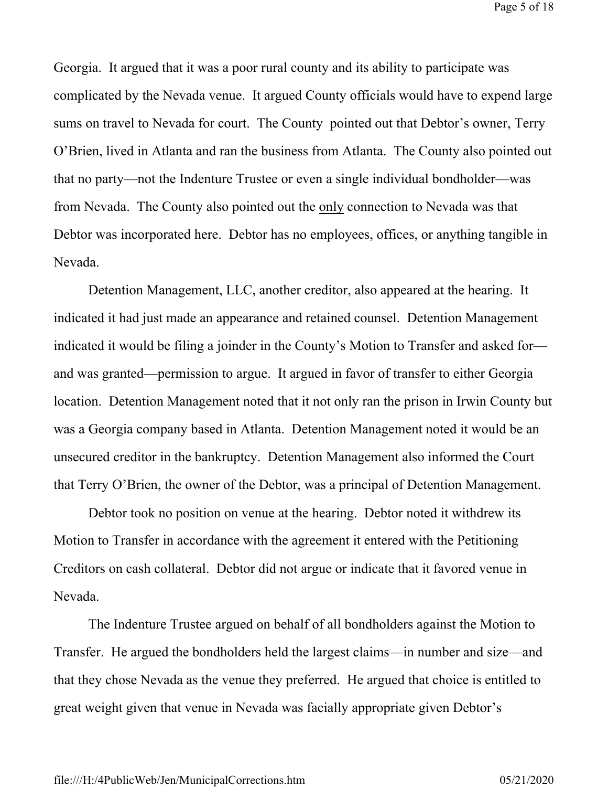Page 5 of 18

Georgia. It argued that it was a poor rural county and its ability to participate was complicated by the Nevada venue. It argued County officials would have to expend large sums on travel to Nevada for court. The County pointed out that Debtor's owner, Terry O'Brien, lived in Atlanta and ran the business from Atlanta. The County also pointed out that no party—not the Indenture Trustee or even a single individual bondholder—was from Nevada. The County also pointed out the only connection to Nevada was that Debtor was incorporated here. Debtor has no employees, offices, or anything tangible in Nevada.

 Detention Management, LLC, another creditor, also appeared at the hearing. It indicated it had just made an appearance and retained counsel. Detention Management indicated it would be filing a joinder in the County's Motion to Transfer and asked for and was granted—permission to argue. It argued in favor of transfer to either Georgia location. Detention Management noted that it not only ran the prison in Irwin County but was a Georgia company based in Atlanta. Detention Management noted it would be an unsecured creditor in the bankruptcy. Detention Management also informed the Court that Terry O'Brien, the owner of the Debtor, was a principal of Detention Management.

 Debtor took no position on venue at the hearing. Debtor noted it withdrew its Motion to Transfer in accordance with the agreement it entered with the Petitioning Creditors on cash collateral. Debtor did not argue or indicate that it favored venue in Nevada.

 The Indenture Trustee argued on behalf of all bondholders against the Motion to Transfer. He argued the bondholders held the largest claims—in number and size—and that they chose Nevada as the venue they preferred. He argued that choice is entitled to great weight given that venue in Nevada was facially appropriate given Debtor's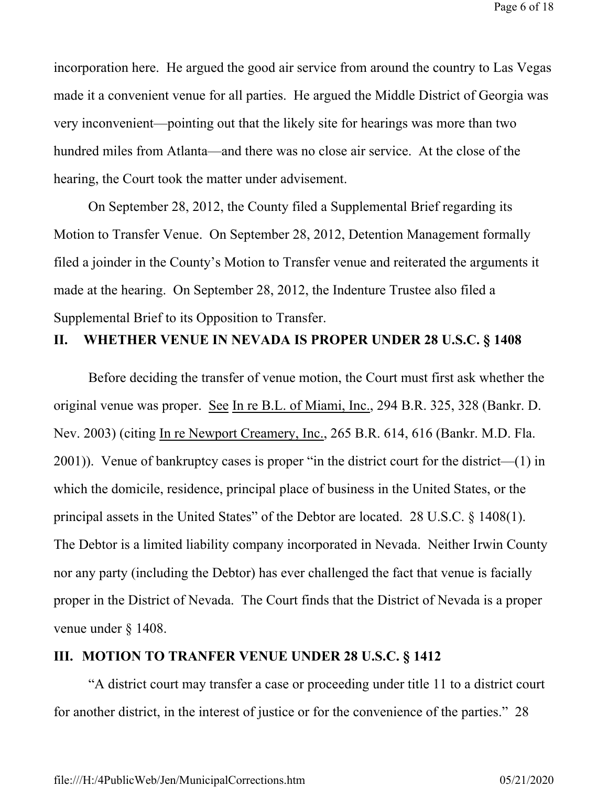incorporation here. He argued the good air service from around the country to Las Vegas made it a convenient venue for all parties. He argued the Middle District of Georgia was very inconvenient—pointing out that the likely site for hearings was more than two hundred miles from Atlanta—and there was no close air service. At the close of the hearing, the Court took the matter under advisement.

 On September 28, 2012, the County filed a Supplemental Brief regarding its Motion to Transfer Venue. On September 28, 2012, Detention Management formally filed a joinder in the County's Motion to Transfer venue and reiterated the arguments it made at the hearing. On September 28, 2012, the Indenture Trustee also filed a Supplemental Brief to its Opposition to Transfer.

## **II. WHETHER VENUE IN NEVADA IS PROPER UNDER 28 U.S.C. § 1408**

Before deciding the transfer of venue motion, the Court must first ask whether the original venue was proper. See In re B.L. of Miami, Inc., 294 B.R. 325, 328 (Bankr. D. Nev. 2003) (citing In re Newport Creamery, Inc., 265 B.R. 614, 616 (Bankr. M.D. Fla. 2001)). Venue of bankruptcy cases is proper "in the district court for the district—(1) in which the domicile, residence, principal place of business in the United States, or the principal assets in the United States" of the Debtor are located. 28 U.S.C. § 1408(1). The Debtor is a limited liability company incorporated in Nevada. Neither Irwin County nor any party (including the Debtor) has ever challenged the fact that venue is facially proper in the District of Nevada. The Court finds that the District of Nevada is a proper venue under § 1408.

### **III. MOTION TO TRANFER VENUE UNDER 28 U.S.C. § 1412**

"A district court may transfer a case or proceeding under title 11 to a district court for another district, in the interest of justice or for the convenience of the parties." 28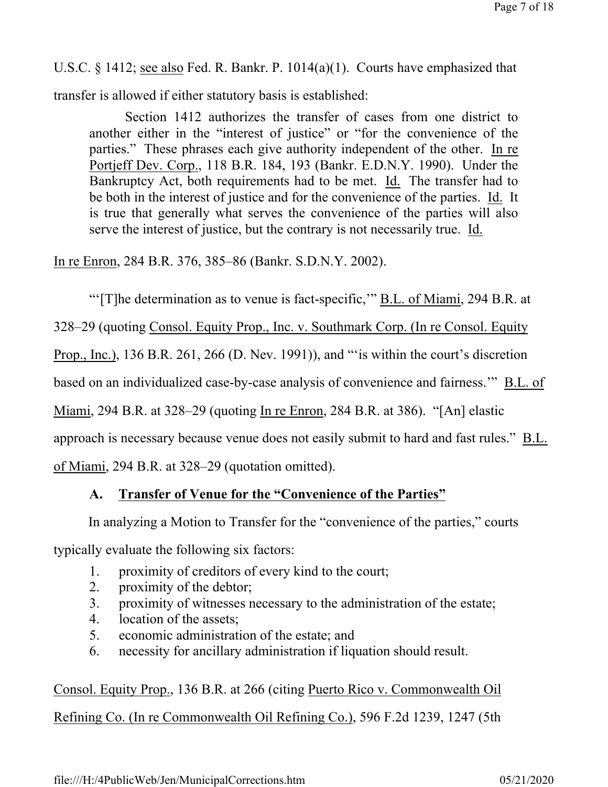U.S.C. § 1412; see also Fed. R. Bankr. P. 1014(a)(1). Courts have emphasized that

transfer is allowed if either statutory basis is established:

Section 1412 authorizes the transfer of cases from one district to another either in the "interest of justice" or "for the convenience of the parties." These phrases each give authority independent of the other. In re Portjeff Dev. Corp., 118 B.R. 184, 193 (Bankr. E.D.N.Y. 1990). Under the Bankruptcy Act, both requirements had to be met. Id. The transfer had to be both in the interest of justice and for the convenience of the parties. Id. It is true that generally what serves the convenience of the parties will also serve the interest of justice, but the contrary is not necessarily true. Id.

In re Enron, 284 B.R. 376, 385–86 (Bankr. S.D.N.Y. 2002).

"'[T]he determination as to venue is fact-specific,"  $BL$  of Miami, 294 B.R. at

328–29 (quoting Consol. Equity Prop., Inc. v. Southmark Corp. (In re Consol. Equity

Prop., Inc.), 136 B.R. 261, 266 (D. Nev. 1991)), and "'is within the court's discretion

based on an individualized case-by-case analysis of convenience and fairness.'" B.L. of

Miami, 294 B.R. at 328–29 (quoting In re Enron, 284 B.R. at 386). "[An] elastic

approach is necessary because venue does not easily submit to hard and fast rules." B.L.

of Miami, 294 B.R. at 328–29 (quotation omitted).

# **A. Transfer of Venue for the "Convenience of the Parties"**

In analyzing a Motion to Transfer for the "convenience of the parties," courts

typically evaluate the following six factors:

- 1. proximity of creditors of every kind to the court;
- 2. proximity of the debtor;
- 3. proximity of witnesses necessary to the administration of the estate;
- 4. location of the assets;
- 5. economic administration of the estate; and
- 6. necessity for ancillary administration if liquation should result.

Consol. Equity Prop., 136 B.R. at 266 (citing Puerto Rico v. Commonwealth Oil Refining Co. (In re Commonwealth Oil Refining Co.), 596 F.2d 1239, 1247 (5th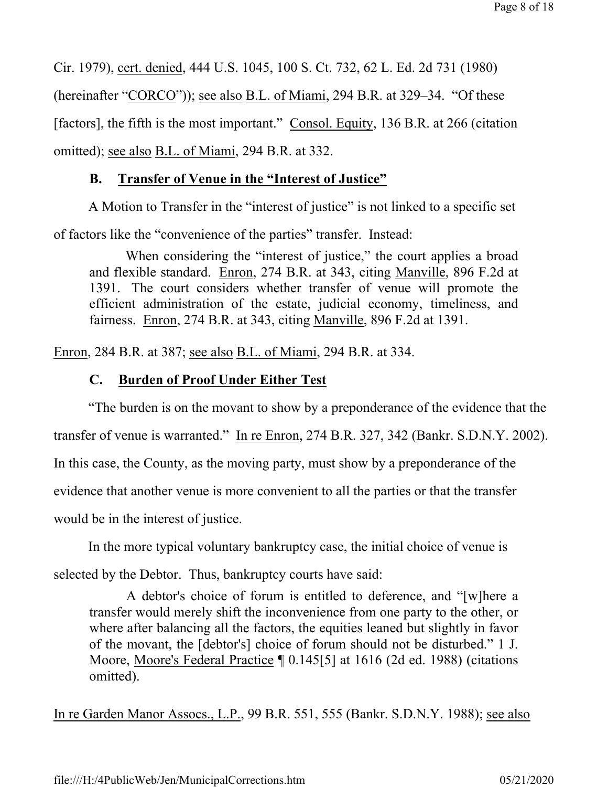Cir. 1979), cert. denied, 444 U.S. 1045, 100 S. Ct. 732, 62 L. Ed. 2d 731 (1980) (hereinafter "CORCO")); see also B.L. of Miami, 294 B.R. at 329–34. "Of these [factors], the fifth is the most important." Consol. Equity, 136 B.R. at 266 (citation omitted); see also B.L. of Miami, 294 B.R. at 332.

## **B. Transfer of Venue in the "Interest of Justice"**

A Motion to Transfer in the "interest of justice" is not linked to a specific set

of factors like the "convenience of the parties" transfer. Instead:

When considering the "interest of justice," the court applies a broad and flexible standard. Enron, 274 B.R. at 343, citing Manville, 896 F.2d at 1391. The court considers whether transfer of venue will promote the efficient administration of the estate, judicial economy, timeliness, and fairness. Enron, 274 B.R. at 343, citing Manville, 896 F.2d at 1391.

Enron, 284 B.R. at 387; see also B.L. of Miami, 294 B.R. at 334.

## **C. Burden of Proof Under Either Test**

"The burden is on the movant to show by a preponderance of the evidence that the transfer of venue is warranted." In re Enron, 274 B.R. 327, 342 (Bankr. S.D.N.Y. 2002). In this case, the County, as the moving party, must show by a preponderance of the evidence that another venue is more convenient to all the parties or that the transfer would be in the interest of justice.

 In the more typical voluntary bankruptcy case, the initial choice of venue is selected by the Debtor. Thus, bankruptcy courts have said:

 A debtor's choice of forum is entitled to deference, and "[w]here a transfer would merely shift the inconvenience from one party to the other, or where after balancing all the factors, the equities leaned but slightly in favor of the movant, the [debtor's] choice of forum should not be disturbed." 1 J. Moore, Moore's Federal Practice ¶ 0.145[5] at 1616 (2d ed. 1988) (citations omitted).

In re Garden Manor Assocs., L.P., 99 B.R. 551, 555 (Bankr. S.D.N.Y. 1988); see also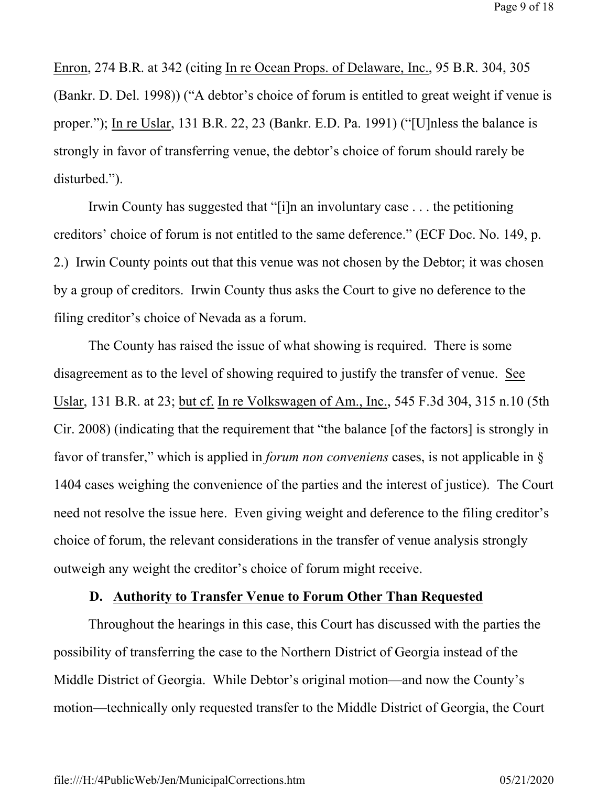Enron, 274 B.R. at 342 (citing In re Ocean Props. of Delaware, Inc., 95 B.R. 304, 305 (Bankr. D. Del. 1998)) ("A debtor's choice of forum is entitled to great weight if venue is proper."); In re Uslar, 131 B.R. 22, 23 (Bankr. E.D. Pa. 1991) ("[U]nless the balance is strongly in favor of transferring venue, the debtor's choice of forum should rarely be disturbed.").

Irwin County has suggested that "[i]n an involuntary case . . . the petitioning creditors' choice of forum is not entitled to the same deference." (ECF Doc. No. 149, p. 2.) Irwin County points out that this venue was not chosen by the Debtor; it was chosen by a group of creditors. Irwin County thus asks the Court to give no deference to the filing creditor's choice of Nevada as a forum.

 The County has raised the issue of what showing is required. There is some disagreement as to the level of showing required to justify the transfer of venue. See Uslar, 131 B.R. at 23; but cf. In re Volkswagen of Am., Inc., 545 F.3d 304, 315 n.10 (5th Cir. 2008) (indicating that the requirement that "the balance [of the factors] is strongly in favor of transfer," which is applied in *forum non conveniens* cases, is not applicable in § 1404 cases weighing the convenience of the parties and the interest of justice). The Court need not resolve the issue here. Even giving weight and deference to the filing creditor's choice of forum, the relevant considerations in the transfer of venue analysis strongly outweigh any weight the creditor's choice of forum might receive.

## **D. Authority to Transfer Venue to Forum Other Than Requested**

Throughout the hearings in this case, this Court has discussed with the parties the possibility of transferring the case to the Northern District of Georgia instead of the Middle District of Georgia. While Debtor's original motion—and now the County's motion—technically only requested transfer to the Middle District of Georgia, the Court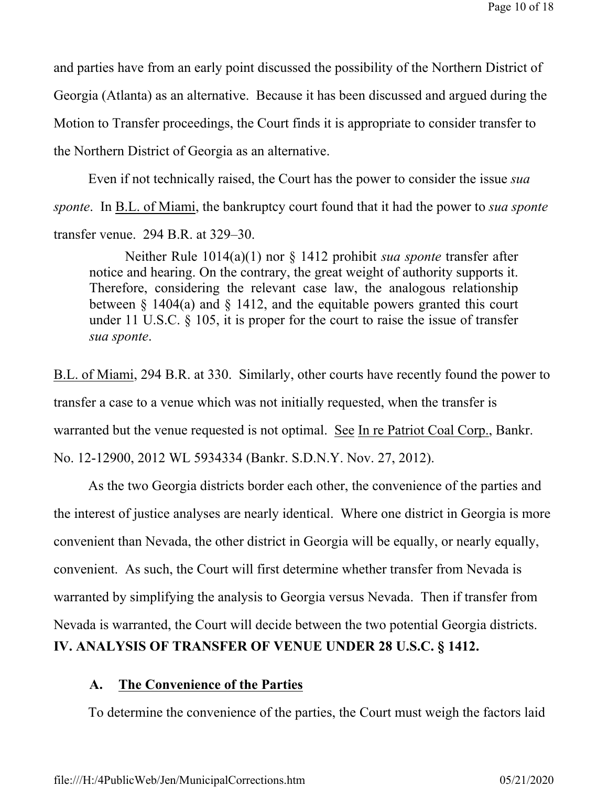and parties have from an early point discussed the possibility of the Northern District of Georgia (Atlanta) as an alternative. Because it has been discussed and argued during the Motion to Transfer proceedings, the Court finds it is appropriate to consider transfer to the Northern District of Georgia as an alternative.

 Even if not technically raised, the Court has the power to consider the issue *sua sponte*. In B.L. of Miami, the bankruptcy court found that it had the power to *sua sponte* transfer venue. 294 B.R. at 329–30.

 Neither Rule 1014(a)(1) nor § 1412 prohibit *sua sponte* transfer after notice and hearing. On the contrary, the great weight of authority supports it. Therefore, considering the relevant case law, the analogous relationship between § 1404(a) and § 1412, and the equitable powers granted this court under 11 U.S.C. § 105, it is proper for the court to raise the issue of transfer *sua sponte*.

B.L. of Miami, 294 B.R. at 330. Similarly, other courts have recently found the power to transfer a case to a venue which was not initially requested, when the transfer is warranted but the venue requested is not optimal. See In re Patriot Coal Corp., Bankr. No. 12-12900, 2012 WL 5934334 (Bankr. S.D.N.Y. Nov. 27, 2012).

 As the two Georgia districts border each other, the convenience of the parties and the interest of justice analyses are nearly identical. Where one district in Georgia is more convenient than Nevada, the other district in Georgia will be equally, or nearly equally, convenient. As such, the Court will first determine whether transfer from Nevada is warranted by simplifying the analysis to Georgia versus Nevada. Then if transfer from Nevada is warranted, the Court will decide between the two potential Georgia districts. **IV. ANALYSIS OF TRANSFER OF VENUE UNDER 28 U.S.C. § 1412.**

## **A. The Convenience of the Parties**

To determine the convenience of the parties, the Court must weigh the factors laid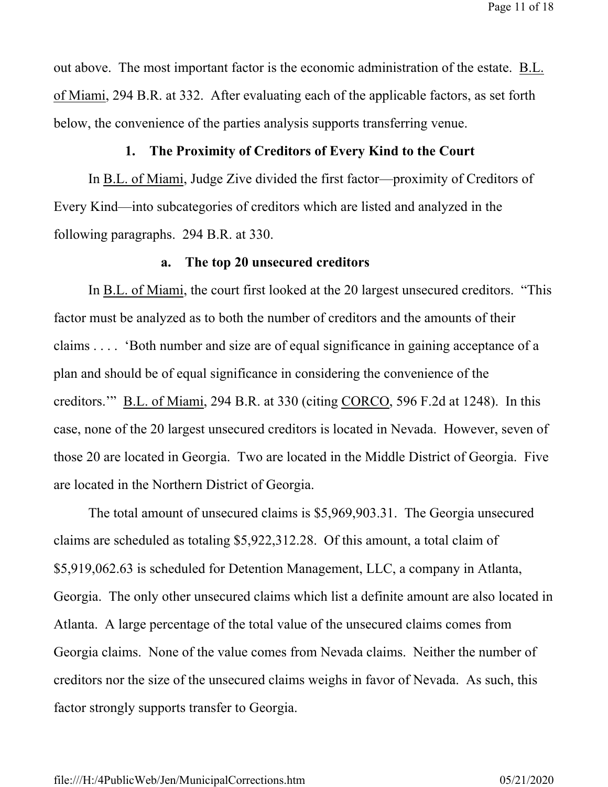Page 11 of 18

out above. The most important factor is the economic administration of the estate. B.L. of Miami, 294 B.R. at 332. After evaluating each of the applicable factors, as set forth below, the convenience of the parties analysis supports transferring venue.

#### **1. The Proximity of Creditors of Every Kind to the Court**

 In B.L. of Miami, Judge Zive divided the first factor—proximity of Creditors of Every Kind—into subcategories of creditors which are listed and analyzed in the following paragraphs. 294 B.R. at 330.

#### **a. The top 20 unsecured creditors**

 In B.L. of Miami, the court first looked at the 20 largest unsecured creditors. "This factor must be analyzed as to both the number of creditors and the amounts of their claims . . . . 'Both number and size are of equal significance in gaining acceptance of a plan and should be of equal significance in considering the convenience of the creditors.'" B.L. of Miami, 294 B.R. at 330 (citing CORCO, 596 F.2d at 1248). In this case, none of the 20 largest unsecured creditors is located in Nevada. However, seven of those 20 are located in Georgia. Two are located in the Middle District of Georgia. Five are located in the Northern District of Georgia.

 The total amount of unsecured claims is \$5,969,903.31. The Georgia unsecured claims are scheduled as totaling \$5,922,312.28. Of this amount, a total claim of \$5,919,062.63 is scheduled for Detention Management, LLC, a company in Atlanta, Georgia. The only other unsecured claims which list a definite amount are also located in Atlanta. A large percentage of the total value of the unsecured claims comes from Georgia claims. None of the value comes from Nevada claims. Neither the number of creditors nor the size of the unsecured claims weighs in favor of Nevada. As such, this factor strongly supports transfer to Georgia.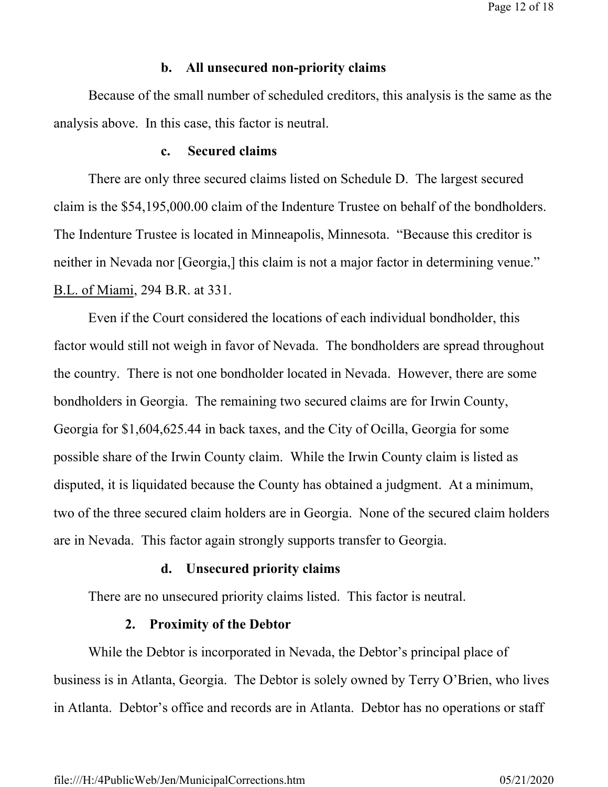Page 12 of 18

#### **b. All unsecured non-priority claims**

Because of the small number of scheduled creditors, this analysis is the same as the analysis above. In this case, this factor is neutral.

## **c. Secured claims**

 There are only three secured claims listed on Schedule D. The largest secured claim is the \$54,195,000.00 claim of the Indenture Trustee on behalf of the bondholders. The Indenture Trustee is located in Minneapolis, Minnesota. "Because this creditor is neither in Nevada nor [Georgia,] this claim is not a major factor in determining venue." B.L. of Miami, 294 B.R. at 331.

 Even if the Court considered the locations of each individual bondholder, this factor would still not weigh in favor of Nevada. The bondholders are spread throughout the country. There is not one bondholder located in Nevada. However, there are some bondholders in Georgia. The remaining two secured claims are for Irwin County, Georgia for \$1,604,625.44 in back taxes, and the City of Ocilla, Georgia for some possible share of the Irwin County claim. While the Irwin County claim is listed as disputed, it is liquidated because the County has obtained a judgment. At a minimum, two of the three secured claim holders are in Georgia. None of the secured claim holders are in Nevada. This factor again strongly supports transfer to Georgia.

#### **d. Unsecured priority claims**

There are no unsecured priority claims listed. This factor is neutral.

#### **2. Proximity of the Debtor**

 While the Debtor is incorporated in Nevada, the Debtor's principal place of business is in Atlanta, Georgia. The Debtor is solely owned by Terry O'Brien, who lives in Atlanta. Debtor's office and records are in Atlanta. Debtor has no operations or staff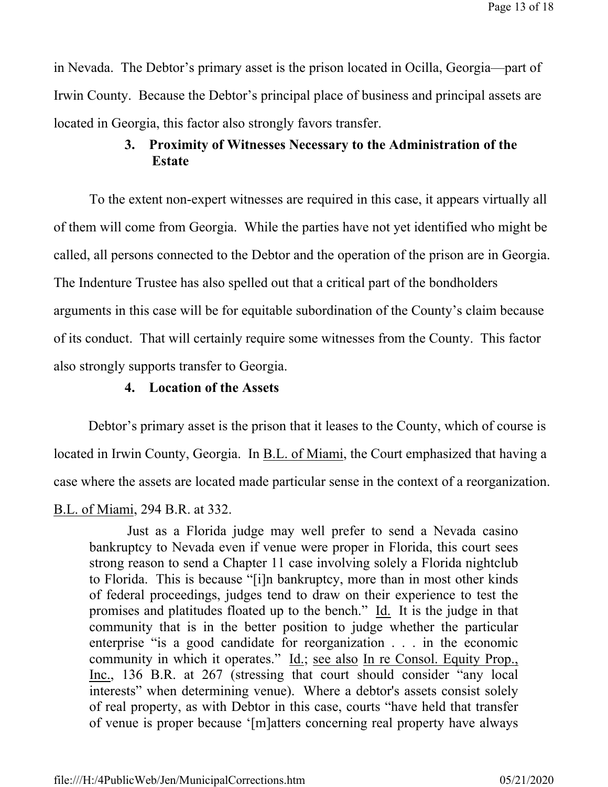in Nevada. The Debtor's primary asset is the prison located in Ocilla, Georgia—part of Irwin County. Because the Debtor's principal place of business and principal assets are located in Georgia, this factor also strongly favors transfer.

## **3. Proximity of Witnesses Necessary to the Administration of the Estate**

To the extent non-expert witnesses are required in this case, it appears virtually all of them will come from Georgia. While the parties have not yet identified who might be called, all persons connected to the Debtor and the operation of the prison are in Georgia. The Indenture Trustee has also spelled out that a critical part of the bondholders arguments in this case will be for equitable subordination of the County's claim because of its conduct. That will certainly require some witnesses from the County. This factor also strongly supports transfer to Georgia.

## **4. Location of the Assets**

Debtor's primary asset is the prison that it leases to the County, which of course is located in Irwin County, Georgia. In B.L. of Miami, the Court emphasized that having a case where the assets are located made particular sense in the context of a reorganization.

## B.L. of Miami, 294 B.R. at 332.

 Just as a Florida judge may well prefer to send a Nevada casino bankruptcy to Nevada even if venue were proper in Florida, this court sees strong reason to send a Chapter 11 case involving solely a Florida nightclub to Florida. This is because "[i]n bankruptcy, more than in most other kinds of federal proceedings, judges tend to draw on their experience to test the promises and platitudes floated up to the bench." Id. It is the judge in that community that is in the better position to judge whether the particular enterprise "is a good candidate for reorganization . . . in the economic community in which it operates." Id.; see also In re Consol. Equity Prop., Inc., 136 B.R. at 267 (stressing that court should consider "any local interests" when determining venue). Where a debtor's assets consist solely of real property, as with Debtor in this case, courts "have held that transfer of venue is proper because '[m]atters concerning real property have always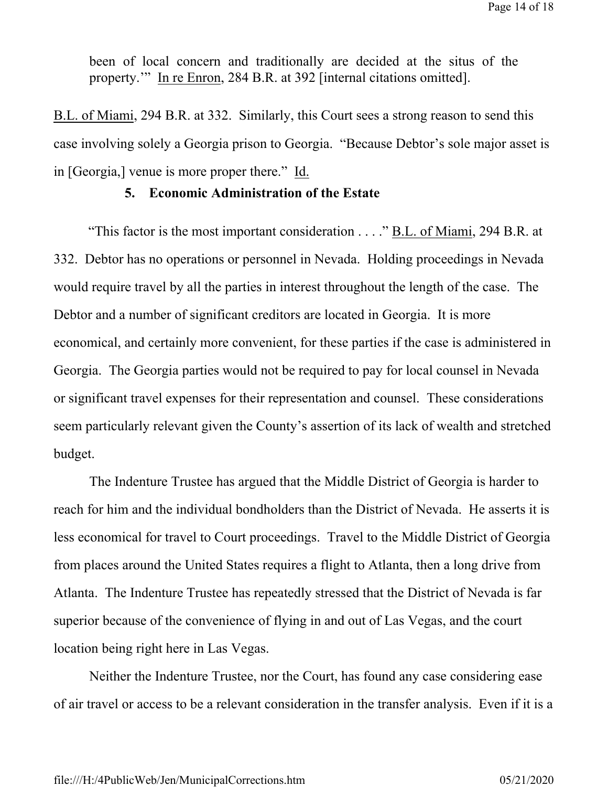been of local concern and traditionally are decided at the situs of the property.'" In re Enron, 284 B.R. at 392 [internal citations omitted].

B.L. of Miami, 294 B.R. at 332. Similarly, this Court sees a strong reason to send this case involving solely a Georgia prison to Georgia. "Because Debtor's sole major asset is in [Georgia,] venue is more proper there." Id.

## **5. Economic Administration of the Estate**

"This factor is the most important consideration . . . ." B.L. of Miami, 294 B.R. at 332. Debtor has no operations or personnel in Nevada. Holding proceedings in Nevada would require travel by all the parties in interest throughout the length of the case. The Debtor and a number of significant creditors are located in Georgia. It is more economical, and certainly more convenient, for these parties if the case is administered in Georgia. The Georgia parties would not be required to pay for local counsel in Nevada or significant travel expenses for their representation and counsel. These considerations seem particularly relevant given the County's assertion of its lack of wealth and stretched budget.

The Indenture Trustee has argued that the Middle District of Georgia is harder to reach for him and the individual bondholders than the District of Nevada. He asserts it is less economical for travel to Court proceedings. Travel to the Middle District of Georgia from places around the United States requires a flight to Atlanta, then a long drive from Atlanta. The Indenture Trustee has repeatedly stressed that the District of Nevada is far superior because of the convenience of flying in and out of Las Vegas, and the court location being right here in Las Vegas.

Neither the Indenture Trustee, nor the Court, has found any case considering ease of air travel or access to be a relevant consideration in the transfer analysis. Even if it is a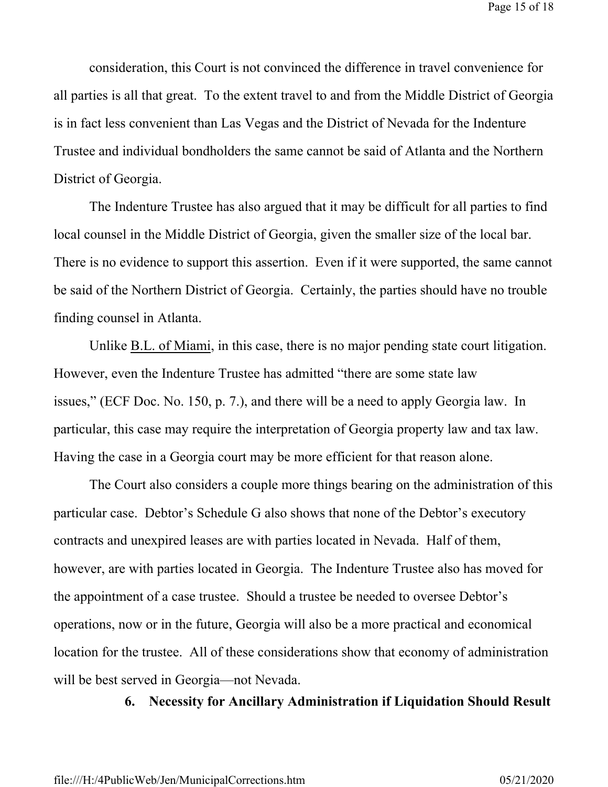consideration, this Court is not convinced the difference in travel convenience for all parties is all that great. To the extent travel to and from the Middle District of Georgia is in fact less convenient than Las Vegas and the District of Nevada for the Indenture Trustee and individual bondholders the same cannot be said of Atlanta and the Northern District of Georgia.

The Indenture Trustee has also argued that it may be difficult for all parties to find local counsel in the Middle District of Georgia, given the smaller size of the local bar. There is no evidence to support this assertion. Even if it were supported, the same cannot be said of the Northern District of Georgia. Certainly, the parties should have no trouble finding counsel in Atlanta.

Unlike B.L. of Miami, in this case, there is no major pending state court litigation. However, even the Indenture Trustee has admitted "there are some state law issues," (ECF Doc. No. 150, p. 7.), and there will be a need to apply Georgia law. In particular, this case may require the interpretation of Georgia property law and tax law. Having the case in a Georgia court may be more efficient for that reason alone.

The Court also considers a couple more things bearing on the administration of this particular case. Debtor's Schedule G also shows that none of the Debtor's executory contracts and unexpired leases are with parties located in Nevada. Half of them, however, are with parties located in Georgia. The Indenture Trustee also has moved for the appointment of a case trustee. Should a trustee be needed to oversee Debtor's operations, now or in the future, Georgia will also be a more practical and economical location for the trustee. All of these considerations show that economy of administration will be best served in Georgia—not Nevada.

## **6. Necessity for Ancillary Administration if Liquidation Should Result**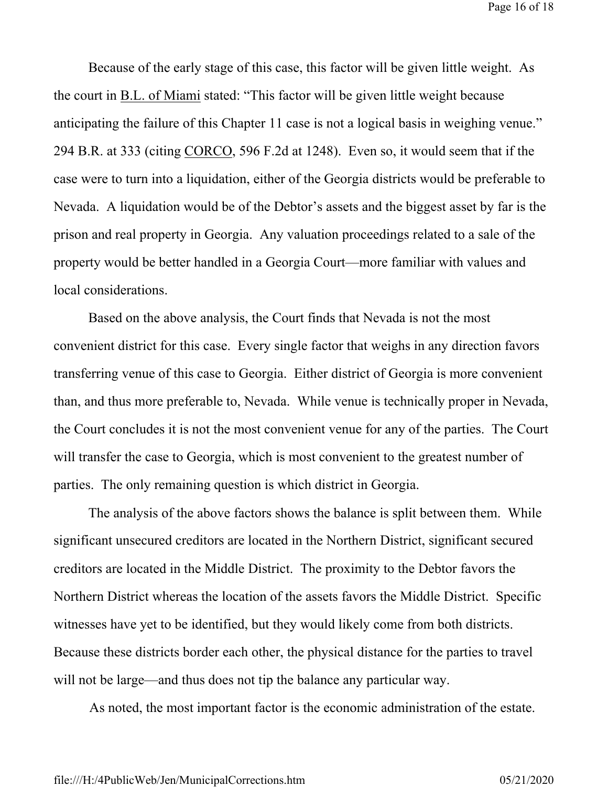Page 16 of 18

Because of the early stage of this case, this factor will be given little weight. As the court in B.L. of Miami stated: "This factor will be given little weight because anticipating the failure of this Chapter 11 case is not a logical basis in weighing venue." 294 B.R. at 333 (citing CORCO, 596 F.2d at 1248). Even so, it would seem that if the case were to turn into a liquidation, either of the Georgia districts would be preferable to Nevada. A liquidation would be of the Debtor's assets and the biggest asset by far is the prison and real property in Georgia. Any valuation proceedings related to a sale of the property would be better handled in a Georgia Court—more familiar with values and local considerations.

Based on the above analysis, the Court finds that Nevada is not the most convenient district for this case. Every single factor that weighs in any direction favors transferring venue of this case to Georgia. Either district of Georgia is more convenient than, and thus more preferable to, Nevada. While venue is technically proper in Nevada, the Court concludes it is not the most convenient venue for any of the parties. The Court will transfer the case to Georgia, which is most convenient to the greatest number of parties. The only remaining question is which district in Georgia.

 The analysis of the above factors shows the balance is split between them. While significant unsecured creditors are located in the Northern District, significant secured creditors are located in the Middle District. The proximity to the Debtor favors the Northern District whereas the location of the assets favors the Middle District. Specific witnesses have yet to be identified, but they would likely come from both districts. Because these districts border each other, the physical distance for the parties to travel will not be large—and thus does not tip the balance any particular way.

As noted, the most important factor is the economic administration of the estate.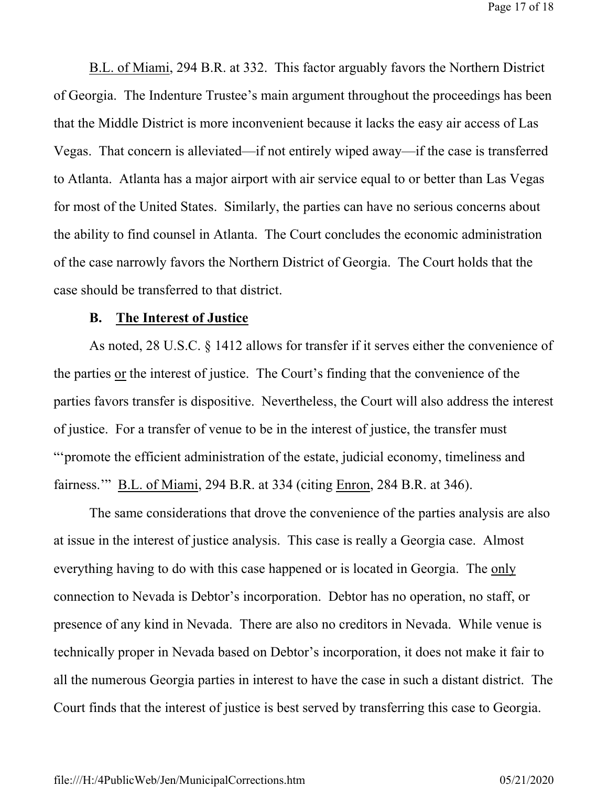Page 17 of 18

B.L. of Miami, 294 B.R. at 332. This factor arguably favors the Northern District of Georgia. The Indenture Trustee's main argument throughout the proceedings has been that the Middle District is more inconvenient because it lacks the easy air access of Las Vegas. That concern is alleviated—if not entirely wiped away—if the case is transferred to Atlanta. Atlanta has a major airport with air service equal to or better than Las Vegas for most of the United States. Similarly, the parties can have no serious concerns about the ability to find counsel in Atlanta. The Court concludes the economic administration of the case narrowly favors the Northern District of Georgia. The Court holds that the case should be transferred to that district.

#### **B. The Interest of Justice**

As noted, 28 U.S.C. § 1412 allows for transfer if it serves either the convenience of the parties or the interest of justice. The Court's finding that the convenience of the parties favors transfer is dispositive. Nevertheless, the Court will also address the interest of justice. For a transfer of venue to be in the interest of justice, the transfer must "'promote the efficient administration of the estate, judicial economy, timeliness and fairness.'" B.L. of Miami, 294 B.R. at 334 (citing Enron, 284 B.R. at 346).

The same considerations that drove the convenience of the parties analysis are also at issue in the interest of justice analysis. This case is really a Georgia case. Almost everything having to do with this case happened or is located in Georgia. The only connection to Nevada is Debtor's incorporation. Debtor has no operation, no staff, or presence of any kind in Nevada. There are also no creditors in Nevada. While venue is technically proper in Nevada based on Debtor's incorporation, it does not make it fair to all the numerous Georgia parties in interest to have the case in such a distant district. The Court finds that the interest of justice is best served by transferring this case to Georgia.